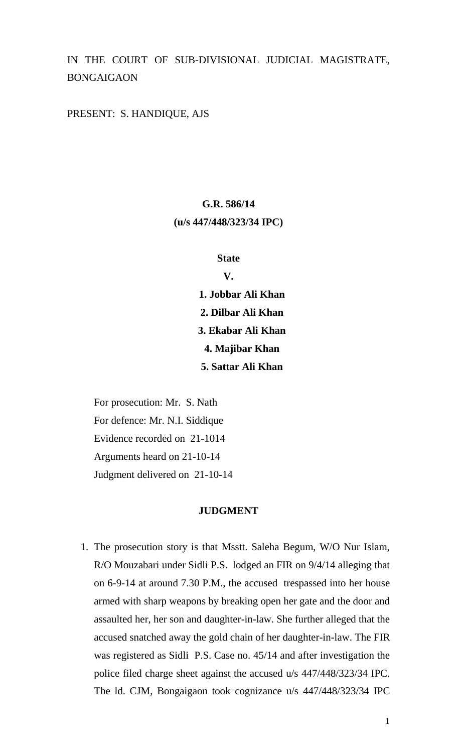# IN THE COURT OF SUB-DIVISIONAL JUDICIAL MAGISTRATE, BONGAIGAON

### PRESENT: S. HANDIQUE, AJS

# **G.R. 586/14 (u/s 447/448/323/34 IPC)**

#### **State**

**V.**

**1. Jobbar Ali Khan 2. Dilbar Ali Khan 3. Ekabar Ali Khan 4. Majibar Khan 5. Sattar Ali Khan**

For prosecution: Mr. S. Nath For defence: Mr. N.I. Siddique Evidence recorded on 21-1014 Arguments heard on 21-10-14 Judgment delivered on 21-10-14

### **JUDGMENT**

1. The prosecution story is that Msstt. Saleha Begum, W/O Nur Islam, R/O Mouzabari under Sidli P.S. lodged an FIR on 9/4/14 alleging that on 6-9-14 at around 7.30 P.M., the accused trespassed into her house armed with sharp weapons by breaking open her gate and the door and assaulted her, her son and daughter-in-law. She further alleged that the accused snatched away the gold chain of her daughter-in-law. The FIR was registered as Sidli P.S. Case no. 45/14 and after investigation the police filed charge sheet against the accused u/s 447/448/323/34 IPC. The ld. CJM, Bongaigaon took cognizance u/s 447/448/323/34 IPC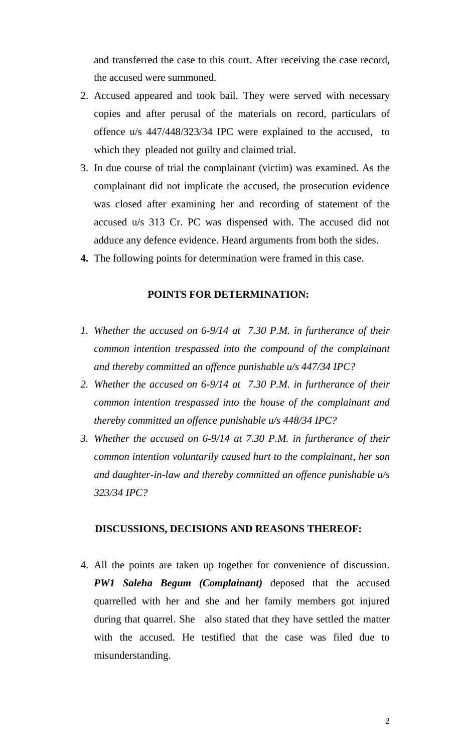and transferred the case to this court. After receiving the case record, the accused were summoned.

- 2. Accused appeared and took bail. They were served with necessary copies and after perusal of the materials on record, particulars of offence u/s 447/448/323/34 IPC were explained to the accused, to which they pleaded not guilty and claimed trial.
- 3. In due course of trial the complainant (victim) was examined. As the complainant did not implicate the accused, the prosecution evidence was closed after examining her and recording of statement of the accused u/s 313 Cr. PC was dispensed with. The accused did not adduce any defence evidence. Heard arguments from both the sides.
- **4.** The following points for determination were framed in this case.

### **POINTS FOR DETERMINATION:**

- *1. Whether the accused on 6-9/14 at 7.30 P.M. in furtherance of their common intention trespassed into the compound of the complainant and thereby committed an offence punishable u/s 447/34 IPC?*
- *2. Whether the accused on 6-9/14 at 7.30 P.M. in furtherance of their common intention trespassed into the house of the complainant and thereby committed an offence punishable u/s 448/34 IPC?*
- *3. Whether the accused on 6-9/14 at 7.30 P.M. in furtherance of their common intention voluntarily caused hurt to the complainant, her son and daughter-in-law and thereby committed an offence punishable u/s 323/34 IPC?*

#### **DISCUSSIONS, DECISIONS AND REASONS THEREOF:**

4. All the points are taken up together for convenience of discussion. *PW1 Saleha Begum (Complainant)* deposed that the accused quarrelled with her and she and her family members got injured during that quarrel. She also stated that they have settled the matter with the accused. He testified that the case was filed due to misunderstanding.